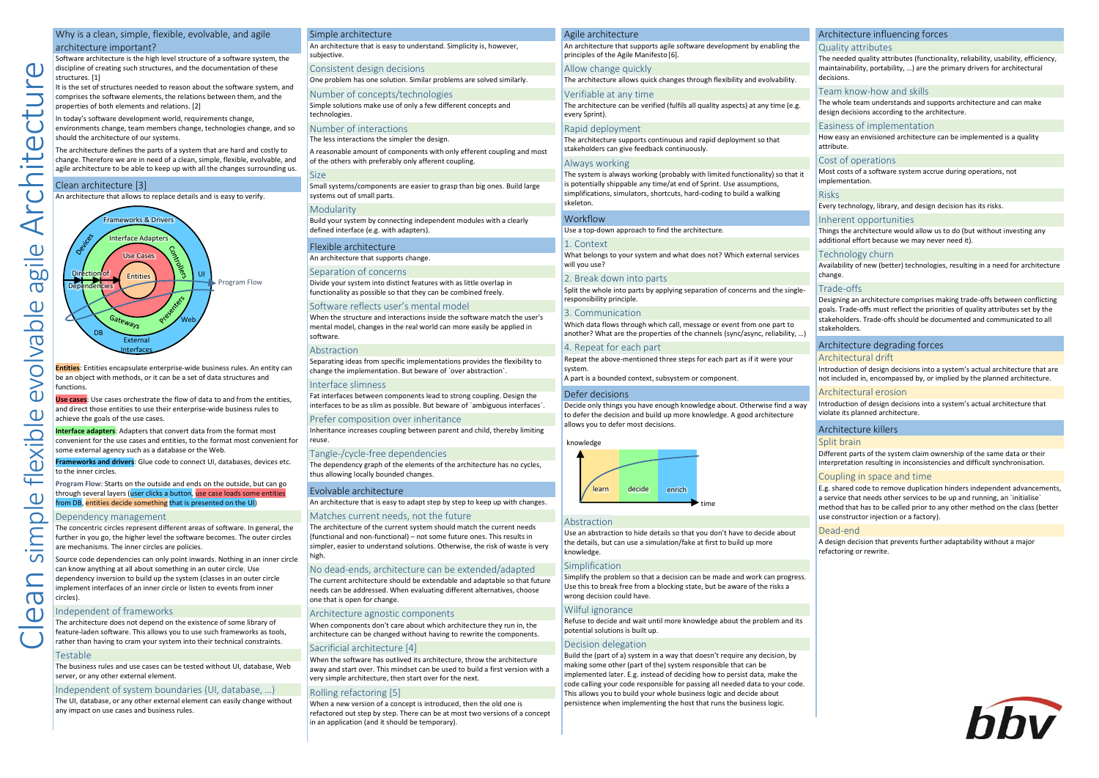# Why is a clean, simple, flexible, evolvable, and agile architecture important?

Software architecture is the high level structure of a software system, the discipline of creating such structures, and the documentation of these structures. [1]

It is the set of structures needed to reason about the software system, and comprises the software elements, the relations between them, and the properties of both elements and relations. [2]

In today's software development world, requirements change, environments change, team members change, technologies change, and so should the architecture of our systems.

The architecture defines the parts of a system that are hard and costly to change. Therefore we are in need of a clean, simple, flexible, evolvable, and agile architecture to be able to keep up with all the changes surrounding us.

#### Clean architecture [3]

 $\alpha$ 

Arch

evolvable agile

flexible

simple

 $\sigma$ 

An architecture that allows to replace details and is easy to verify.



**Entities**: Entities encapsulate enterprise-wide business rules. An entity can be an object with methods, or it can be a set of data structures and functions.

**Use cases**: Use cases orchestrate the flow of data to and from the entities, and direct those entities to use their enterprise-wide business rules to achieve the goals of the use cases.

**Interface adapters**: Adapters that convert data from the format most convenient for the use cases and entities, to the format most convenient for some external agency such as a database or the Web.

**Frameworks and drivers**: Glue code to connect UI, databases, devices etc. to the inner circles.

**Program Flow**: Starts on the outside and ends on the outside, but can go through several layers (user clicks a button, use case loads some entities from DB, entities decide something that is presented on the UI)

#### Dependency management

The concentric circles represent different areas of software. In general, the further in you go, the higher level the software becomes. The outer circles are mechanisms. The inner circles are policies.

Source code dependencies can only point inwards. Nothing in an inner circle can know anything at all about something in an outer circle. Use dependency inversion to build up the system (classes in an outer circle implement interfaces of an inner circle or listen to events from inner circles).

#### Independent of frameworks

The architecture does not depend on the existence of some library of feature-laden software. This allows you to use such frameworks as tools, rather than having to cram your system into their technical constraints.

#### Testable

The business rules and use cases can be tested without UI, database, Web server, or any other external element.

#### Independent of system boundaries (UI, database, …)

The UI, database, or any other external element can easily change without any impact on use cases and business rules.

|  | Simple architecture                                                                |
|--|------------------------------------------------------------------------------------|
|  | An architecture that is easy to understand. Simplicity is, however,<br>subjective. |
|  | Consistent design decisions                                                        |
|  | One problem has one solution. Similar problems are solved similarly.               |
|  | Number of concepts/technologies                                                    |
|  | Simple solutions make use of only a few different concepts and<br>technologies.    |
|  | Number of interactions                                                             |
|  | The less interactions the simpler the design.                                      |

A reasonable amount of components with only efferent coupling and most of the others with preferably only afferent coupling.

# **Size**

Small systems/components are easier to grasp than big ones. Build large systems out of small parts.

#### **Modularity**

Build your system by connecting independent modules with a clearly defined interface (e.g. with adapters).

# Flexible architecture

An architecture that supports change.

Separation of concerns Divide your system into distinct features with as little overlap in functionality as possible so that they can be combined freely.

#### Software reflects user's mental model

When the structure and interactions inside the software match the user's mental model, changes in the real world can more easily be applied in software.

#### Abstraction

Separating ideas from specific implementations provides the flexibility to change the implementation. But beware of `over abstraction`.

#### Interface slimness

Fat interfaces between components lead to strong coupling. Design the interfaces to be as slim as possible. But beware of `ambiguous interfaces`.

#### Prefer composition over inheritance

Inheritance increases coupling between parent and child, thereby limiting reuse.

## Tangle-/cycle-free dependencies

The dependency graph of the elements of the architecture has no cycles, thus allowing locally bounded changes.

#### Evolvable architecture

An architecture that is easy to adapt step by step to keep up with changes.

#### Matches current needs, not the future

The architecture of the current system should match the current needs (functional and non-functional) – not some future ones. This results in simpler, easier to understand solutions. Otherwise, the risk of waste is very high.

## No dead-ends, architecture can be extended/adapted

The current architecture should be extendable and adaptable so that future needs can be addressed. When evaluating different alternatives, choose one that is open for change.

#### Architecture agnostic components

When components don't care about which architecture they run in, the architecture can be changed without having to rewrite the components.

#### Sacrificial architecture [4]

When the software has outlived its architecture, throw the architecture away and start over. This mindset can be used to build a first version with a very simple architecture, then start over for the next.

#### Rolling refactoring [5]

When a new version of a concept is introduced, then the old one is refactored out step by step. There can be at most two versions of a concept in an application (and it should be temporary).

# Agile architecture

An architecture that supports agile software development by enabling the principles of the Agile Manifesto [6]. Allow change quickly

The architecture allows quick changes through flexibility and evolvability.

### Verifiable at any time The architecture can be verified (fulfils all quality aspects) at any time (e.g.

every Sprint).

# Rapid deployment

The architecture supports continuous and rapid deployment so that stakeholders can give feedback continuously.

#### Always working

The system is always working (probably with limited functionality) so that it is potentially shippable any time/at end of Sprint. Use assumptions, simplifications, simulators, shortcuts, hard-coding to build a walking skeleton.

#### Workflow

1. Context What belongs to your system and what does not? Which external services

# will you use?

Use a top-down approach to find the architecture.

2. Break down into parts Split the whole into parts by applying separation of concerns and the singleresponsibility principle.

#### 3. Communication

Which data flows through which call, message or event from one part to another? What are the properties of the channels (sync/async, reliability, …)

## 4. Repeat for each part

Repeat the above-mentioned three steps for each part as if it were your system.

A part is a bounded context, subsystem or component.

# Defer decisions

Decide only things you have enough knowledge about. Otherwise find a way to defer the decision and build up more knowledge. A good architecture allows you to defer most decisions.

#### knowledge



#### Abstraction

Use an abstraction to hide details so that you don't have to decide about the details, but can use a simulation/fake at first to build up more knowledge.

#### **Simplification**

Simplify the problem so that a decision can be made and work can progress. Use this to break free from a blocking state, but be aware of the risks a wrong decision could have

# Wilful ignorance

Refuse to decide and wait until more knowledge about the problem and its potential solutions is built up.

#### Decision delegation

Build the (part of a) system in a way that doesn't require any decision, by making some other (part of the) system responsible that can be implemented later. E.g. instead of deciding how to persist data, make the code calling your code responsible for passing all needed data to your code. This allows you to build your whole business logic and decide about persistence when implementing the host that runs the business logic.

### Architecture influencing forces

# Quality attributes

The needed quality attributes (functionality, reliability, usability, efficiency, maintainability, portability, …) are the primary drivers for architectural decisions.

#### Team know-how and skills

The whole team understands and supports architecture and can make design decisions according to the architecture.

# Easiness of implementation

How easy an envisioned architecture can be implemented is a quality attribute.

# Cost of operations

Most costs of a software system accrue during operations, not implementation.

## Risks

Every technology, library, and design decision has its risks.

#### Inherent opportunities

Architecture degrading forces

Things the architecture would allow us to do (but without investing any additional effort because we may never need it).

#### Technology churn

Trade-offs

stakeholders.

Architectural drift

Architectural erosion

violate its planned architecture. Architecture killers Split brain

Coupling in space and time

use constructor injection or a factory).

Dead-end

refactoring or rewrite.

Availability of new (better) technologies, resulting in a need for architecture change.

Designing an architecture comprises making trade-offs between conflicting goals. Trade-offs must reflect the priorities of quality attributes set by the stakeholders. Trade-offs should be documented and communicated to all

Introduction of design decisions into a system's actual architecture that are not included in, encompassed by, or implied by the planned architecture.

Introduction of design decisions into a system's actual architecture that

Different parts of the system claim ownership of the same data or their interpretation resulting in inconsistencies and difficult synchronisation.

A design decision that prevents further adaptability without a major

E.g. shared code to remove duplication hinders independent advancements, a service that needs other services to be up and running, an `initialise` method that has to be called prior to any other method on the class (better